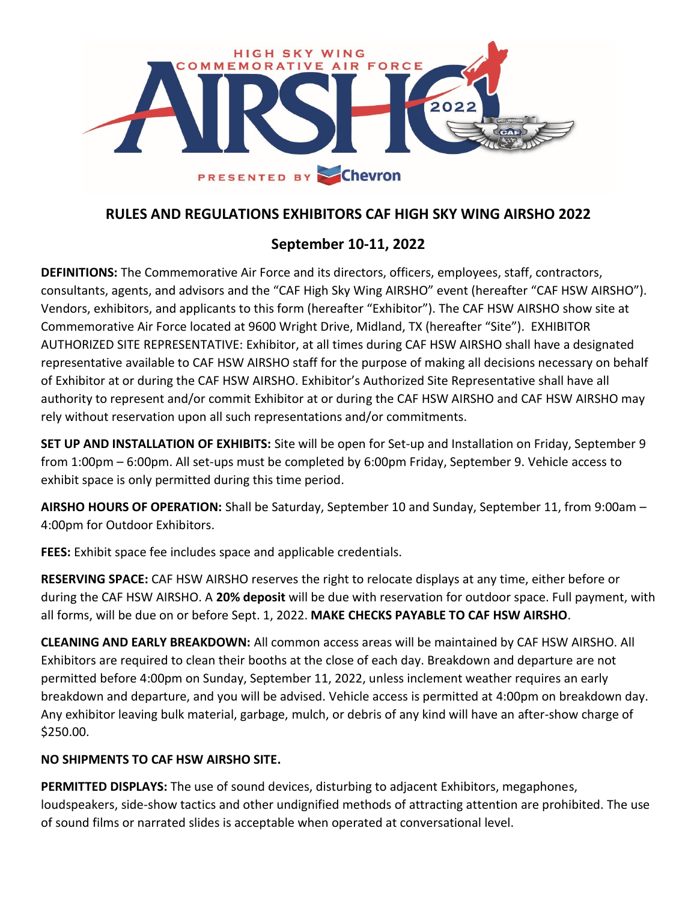

# **RULES AND REGULATIONS EXHIBITORS CAF HIGH SKY WING AIRSHO 2022**

# **September 10-11, 2022**

**DEFINITIONS:** The Commemorative Air Force and its directors, officers, employees, staff, contractors, consultants, agents, and advisors and the "CAF High Sky Wing AIRSHO" event (hereafter "CAF HSW AIRSHO"). Vendors, exhibitors, and applicants to this form (hereafter "Exhibitor"). The CAF HSW AIRSHO show site at Commemorative Air Force located at 9600 Wright Drive, Midland, TX (hereafter "Site"). EXHIBITOR AUTHORIZED SITE REPRESENTATIVE: Exhibitor, at all times during CAF HSW AIRSHO shall have a designated representative available to CAF HSW AIRSHO staff for the purpose of making all decisions necessary on behalf of Exhibitor at or during the CAF HSW AIRSHO. Exhibitor's Authorized Site Representative shall have all authority to represent and/or commit Exhibitor at or during the CAF HSW AIRSHO and CAF HSW AIRSHO may rely without reservation upon all such representations and/or commitments.

**SET UP AND INSTALLATION OF EXHIBITS:** Site will be open for Set-up and Installation on Friday, September 9 from 1:00pm – 6:00pm. All set-ups must be completed by 6:00pm Friday, September 9. Vehicle access to exhibit space is only permitted during this time period.

**AIRSHO HOURS OF OPERATION:** Shall be Saturday, September 10 and Sunday, September 11, from 9:00am – 4:00pm for Outdoor Exhibitors.

**FEES:** Exhibit space fee includes space and applicable credentials.

**RESERVING SPACE:** CAF HSW AIRSHO reserves the right to relocate displays at any time, either before or during the CAF HSW AIRSHO. A **20% deposit** will be due with reservation for outdoor space. Full payment, with all forms, will be due on or before Sept. 1, 2022. **MAKE CHECKS PAYABLE TO CAF HSW AIRSHO**.

**CLEANING AND EARLY BREAKDOWN:** All common access areas will be maintained by CAF HSW AIRSHO. All Exhibitors are required to clean their booths at the close of each day. Breakdown and departure are not permitted before 4:00pm on Sunday, September 11, 2022, unless inclement weather requires an early breakdown and departure, and you will be advised. Vehicle access is permitted at 4:00pm on breakdown day. Any exhibitor leaving bulk material, garbage, mulch, or debris of any kind will have an after-show charge of \$250.00.

### **NO SHIPMENTS TO CAF HSW AIRSHO SITE.**

**PERMITTED DISPLAYS:** The use of sound devices, disturbing to adjacent Exhibitors, megaphones, loudspeakers, side-show tactics and other undignified methods of attracting attention are prohibited. The use of sound films or narrated slides is acceptable when operated at conversational level.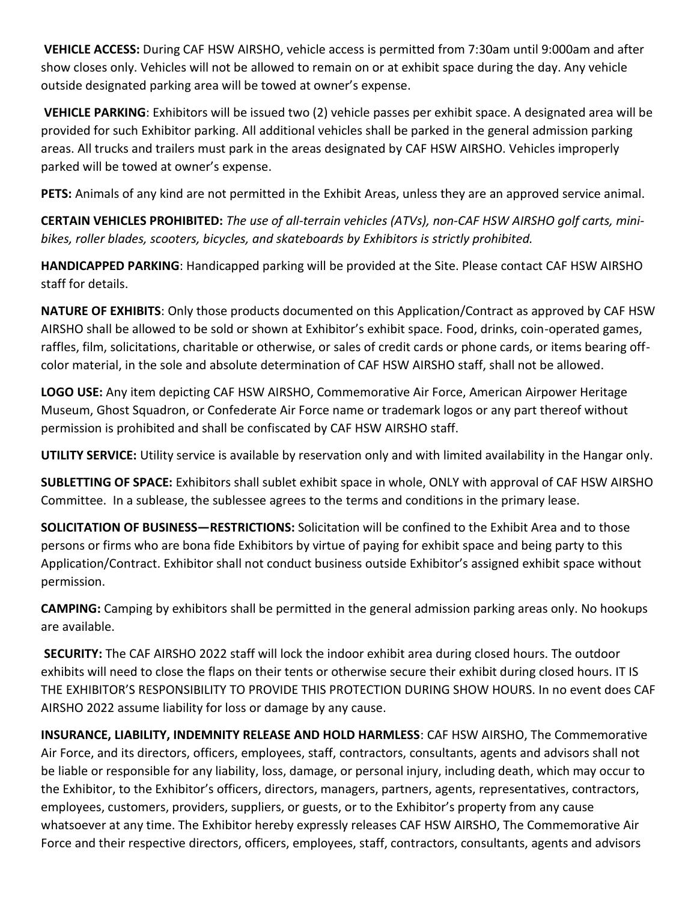**VEHICLE ACCESS:** During CAF HSW AIRSHO, vehicle access is permitted from 7:30am until 9:000am and after show closes only. Vehicles will not be allowed to remain on or at exhibit space during the day. Any vehicle outside designated parking area will be towed at owner's expense.

**VEHICLE PARKING**: Exhibitors will be issued two (2) vehicle passes per exhibit space. A designated area will be provided for such Exhibitor parking. All additional vehicles shall be parked in the general admission parking areas. All trucks and trailers must park in the areas designated by CAF HSW AIRSHO. Vehicles improperly parked will be towed at owner's expense.

**PETS:** Animals of any kind are not permitted in the Exhibit Areas, unless they are an approved service animal.

**CERTAIN VEHICLES PROHIBITED:** *The use of all-terrain vehicles (ATVs), non-CAF HSW AIRSHO golf carts, minibikes, roller blades, scooters, bicycles, and skateboards by Exhibitors is strictly prohibited.* 

**HANDICAPPED PARKING**: Handicapped parking will be provided at the Site. Please contact CAF HSW AIRSHO staff for details.

**NATURE OF EXHIBITS**: Only those products documented on this Application/Contract as approved by CAF HSW AIRSHO shall be allowed to be sold or shown at Exhibitor's exhibit space. Food, drinks, coin-operated games, raffles, film, solicitations, charitable or otherwise, or sales of credit cards or phone cards, or items bearing offcolor material, in the sole and absolute determination of CAF HSW AIRSHO staff, shall not be allowed.

**LOGO USE:** Any item depicting CAF HSW AIRSHO, Commemorative Air Force, American Airpower Heritage Museum, Ghost Squadron, or Confederate Air Force name or trademark logos or any part thereof without permission is prohibited and shall be confiscated by CAF HSW AIRSHO staff.

**UTILITY SERVICE:** Utility service is available by reservation only and with limited availability in the Hangar only.

**SUBLETTING OF SPACE:** Exhibitors shall sublet exhibit space in whole, ONLY with approval of CAF HSW AIRSHO Committee. In a sublease, the sublessee agrees to the terms and conditions in the primary lease.

**SOLICITATION OF BUSINESS—RESTRICTIONS:** Solicitation will be confined to the Exhibit Area and to those persons or firms who are bona fide Exhibitors by virtue of paying for exhibit space and being party to this Application/Contract. Exhibitor shall not conduct business outside Exhibitor's assigned exhibit space without permission.

**CAMPING:** Camping by exhibitors shall be permitted in the general admission parking areas only. No hookups are available.

**SECURITY:** The CAF AIRSHO 2022 staff will lock the indoor exhibit area during closed hours. The outdoor exhibits will need to close the flaps on their tents or otherwise secure their exhibit during closed hours. IT IS THE EXHIBITOR'S RESPONSIBILITY TO PROVIDE THIS PROTECTION DURING SHOW HOURS. In no event does CAF AIRSHO 2022 assume liability for loss or damage by any cause.

**INSURANCE, LIABILITY, INDEMNITY RELEASE AND HOLD HARMLESS**: CAF HSW AIRSHO, The Commemorative Air Force, and its directors, officers, employees, staff, contractors, consultants, agents and advisors shall not be liable or responsible for any liability, loss, damage, or personal injury, including death, which may occur to the Exhibitor, to the Exhibitor's officers, directors, managers, partners, agents, representatives, contractors, employees, customers, providers, suppliers, or guests, or to the Exhibitor's property from any cause whatsoever at any time. The Exhibitor hereby expressly releases CAF HSW AIRSHO, The Commemorative Air Force and their respective directors, officers, employees, staff, contractors, consultants, agents and advisors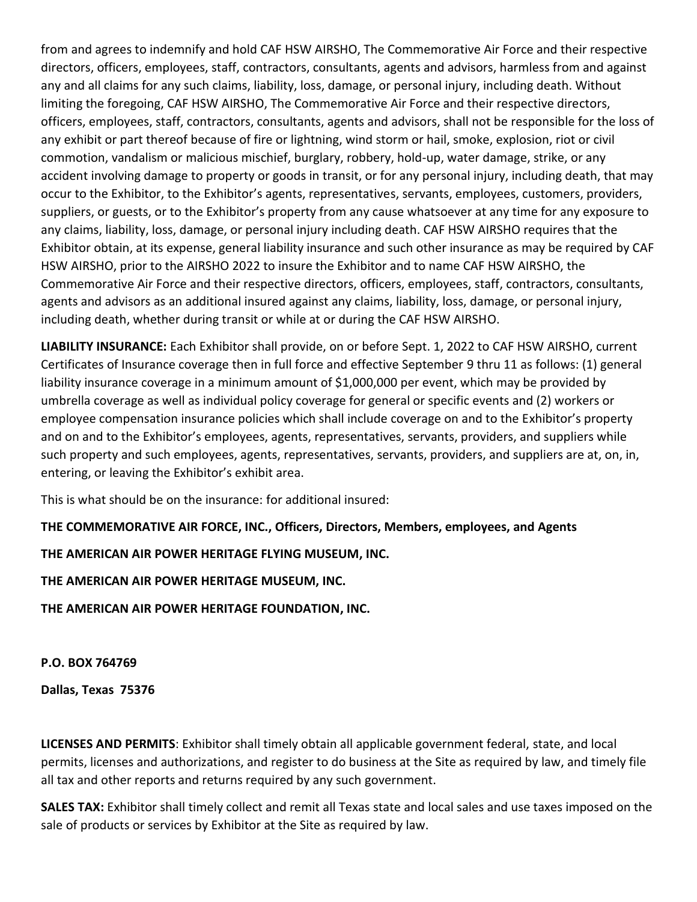from and agrees to indemnify and hold CAF HSW AIRSHO, The Commemorative Air Force and their respective directors, officers, employees, staff, contractors, consultants, agents and advisors, harmless from and against any and all claims for any such claims, liability, loss, damage, or personal injury, including death. Without limiting the foregoing, CAF HSW AIRSHO, The Commemorative Air Force and their respective directors, officers, employees, staff, contractors, consultants, agents and advisors, shall not be responsible for the loss of any exhibit or part thereof because of fire or lightning, wind storm or hail, smoke, explosion, riot or civil commotion, vandalism or malicious mischief, burglary, robbery, hold-up, water damage, strike, or any accident involving damage to property or goods in transit, or for any personal injury, including death, that may occur to the Exhibitor, to the Exhibitor's agents, representatives, servants, employees, customers, providers, suppliers, or guests, or to the Exhibitor's property from any cause whatsoever at any time for any exposure to any claims, liability, loss, damage, or personal injury including death. CAF HSW AIRSHO requires that the Exhibitor obtain, at its expense, general liability insurance and such other insurance as may be required by CAF HSW AIRSHO, prior to the AIRSHO 2022 to insure the Exhibitor and to name CAF HSW AIRSHO, the Commemorative Air Force and their respective directors, officers, employees, staff, contractors, consultants, agents and advisors as an additional insured against any claims, liability, loss, damage, or personal injury, including death, whether during transit or while at or during the CAF HSW AIRSHO.

**LIABILITY INSURANCE:** Each Exhibitor shall provide, on or before Sept. 1, 2022 to CAF HSW AIRSHO, current Certificates of Insurance coverage then in full force and effective September 9 thru 11 as follows: (1) general liability insurance coverage in a minimum amount of \$1,000,000 per event, which may be provided by umbrella coverage as well as individual policy coverage for general or specific events and (2) workers or employee compensation insurance policies which shall include coverage on and to the Exhibitor's property and on and to the Exhibitor's employees, agents, representatives, servants, providers, and suppliers while such property and such employees, agents, representatives, servants, providers, and suppliers are at, on, in, entering, or leaving the Exhibitor's exhibit area.

This is what should be on the insurance: for additional insured:

### **THE COMMEMORATIVE AIR FORCE, INC., Officers, Directors, Members, employees, and Agents**

#### **THE AMERICAN AIR POWER HERITAGE FLYING MUSEUM, INC.**

**THE AMERICAN AIR POWER HERITAGE MUSEUM, INC.**

**THE AMERICAN AIR POWER HERITAGE FOUNDATION, INC.**

**P.O. BOX 764769**

**Dallas, Texas 75376**

**LICENSES AND PERMITS**: Exhibitor shall timely obtain all applicable government federal, state, and local permits, licenses and authorizations, and register to do business at the Site as required by law, and timely file all tax and other reports and returns required by any such government.

**SALES TAX:** Exhibitor shall timely collect and remit all Texas state and local sales and use taxes imposed on the sale of products or services by Exhibitor at the Site as required by law.